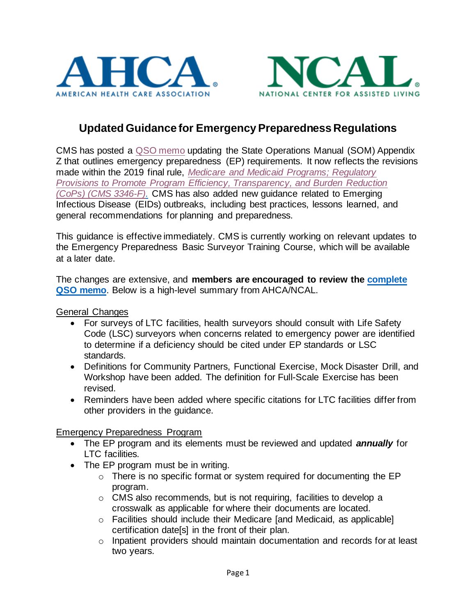



# **Updated Guidance for Emergency Preparedness Regulations**

CMS has posted a [QSO memo](https://www.cms.gov/medicareprovider-enrollment-and-certificationsurveycertificationgeninfopolicy-and-memos-states-and/updated-guidance-emergency-preparedness-appendix-z-state-operations-manual-som) updating the State Operations Manual (SOM) Appendix Z that outlines emergency preparedness (EP) requirements. It now reflects the revisions made within the 2019 final rule, *[Medicare and Medicaid Programs; Regulatory](https://www.federalregister.gov/documents/2019/09/30/2019-20736/medicare-and-medicaid-programs-regulatory-provisions-to-promote-program-efficiency-transparency-and)  [Provisions to Promote Program Efficiency, Transparency, and Burden Reduction](https://www.federalregister.gov/documents/2019/09/30/2019-20736/medicare-and-medicaid-programs-regulatory-provisions-to-promote-program-efficiency-transparency-and)  [\(CoPs\) \(CMS 3346-F\).](https://www.federalregister.gov/documents/2019/09/30/2019-20736/medicare-and-medicaid-programs-regulatory-provisions-to-promote-program-efficiency-transparency-and)* CMS has also added new guidance related to Emerging Infectious Disease (EIDs) outbreaks, including best practices, lessons learned, and general recommendations for planning and preparedness.

This guidance is effective immediately. CMS is currently working on relevant updates to the Emergency Preparedness Basic Surveyor Training Course, which will be available at a later date.

The changes are extensive, and **members are encouraged to review the [complete](https://www.cms.gov/files/document/qso-21-15-all.pdf) [QSO memo](https://www.cms.gov/files/document/qso-21-15-all.pdf)**. Below is a high-level summary from AHCA/NCAL.

General Changes

- For surveys of LTC facilities, health surveyors should consult with Life Safety Code (LSC) surveyors when concerns related to emergency power are identified to determine if a deficiency should be cited under EP standards or LSC standards.
- Definitions for Community Partners, Functional Exercise, Mock Disaster Drill, and Workshop have been added. The definition for Full-Scale Exercise has been revised.
- Reminders have been added where specific citations for LTC facilities differ from other providers in the guidance.

Emergency Preparedness Program

- The EP program and its elements must be reviewed and updated *annually* for LTC facilities.
- The EP program must be in writing.
	- o There is no specific format or system required for documenting the EP program.
	- o CMS also recommends, but is not requiring, facilities to develop a crosswalk as applicable for where their documents are located.
	- o Facilities should include their Medicare [and Medicaid, as applicable] certification date[s] in the front of their plan.
	- o Inpatient providers should maintain documentation and records for at least two years.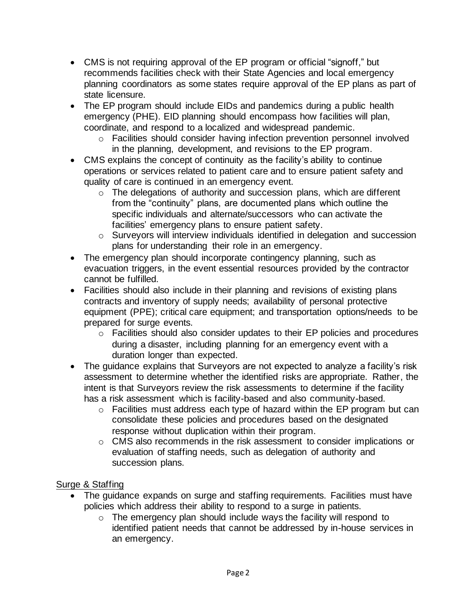- CMS is not requiring approval of the EP program or official "signoff," but recommends facilities check with their State Agencies and local emergency planning coordinators as some states require approval of the EP plans as part of state licensure.
- The EP program should include EIDs and pandemics during a public health emergency (PHE). EID planning should encompass how facilities will plan, coordinate, and respond to a localized and widespread pandemic.
	- o Facilities should consider having infection prevention personnel involved in the planning, development, and revisions to the EP program.
- CMS explains the concept of continuity as the facility's ability to continue operations or services related to patient care and to ensure patient safety and quality of care is continued in an emergency event.
	- o The delegations of authority and succession plans, which are different from the "continuity" plans, are documented plans which outline the specific individuals and alternate/successors who can activate the facilities' emergency plans to ensure patient safety.
	- o Surveyors will interview individuals identified in delegation and succession plans for understanding their role in an emergency.
- The emergency plan should incorporate contingency planning, such as evacuation triggers, in the event essential resources provided by the contractor cannot be fulfilled.
- Facilities should also include in their planning and revisions of existing plans contracts and inventory of supply needs; availability of personal protective equipment (PPE); critical care equipment; and transportation options/needs to be prepared for surge events.
	- o Facilities should also consider updates to their EP policies and procedures during a disaster, including planning for an emergency event with a duration longer than expected.
- The guidance explains that Surveyors are not expected to analyze a facility's risk assessment to determine whether the identified risks are appropriate. Rather, the intent is that Surveyors review the risk assessments to determine if the facility has a risk assessment which is facility-based and also community-based.
	- o Facilities must address each type of hazard within the EP program but can consolidate these policies and procedures based on the designated response without duplication within their program.
	- o CMS also recommends in the risk assessment to consider implications or evaluation of staffing needs, such as delegation of authority and succession plans.

# Surge & Staffing

- The guidance expands on surge and staffing requirements. Facilities must have policies which address their ability to respond to a surge in patients.
	- $\circ$  The emergency plan should include ways the facility will respond to identified patient needs that cannot be addressed by in-house services in an emergency.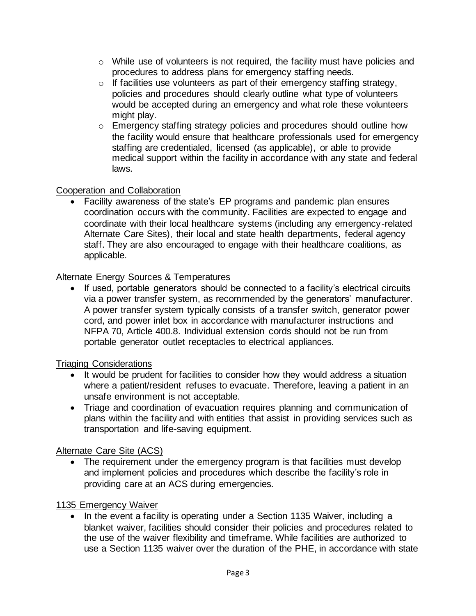- o While use of volunteers is not required, the facility must have policies and procedures to address plans for emergency staffing needs.
- $\circ$  If facilities use volunteers as part of their emergency staffing strategy, policies and procedures should clearly outline what type of volunteers would be accepted during an emergency and what role these volunteers might play.
- o Emergency staffing strategy policies and procedures should outline how the facility would ensure that healthcare professionals used for emergency staffing are credentialed, licensed (as applicable), or able to provide medical support within the facility in accordance with any state and federal laws.

## Cooperation and Collaboration

• Facility awareness of the state's EP programs and pandemic plan ensures coordination occurs with the community. Facilities are expected to engage and coordinate with their local healthcare systems (including any emergency-related Alternate Care Sites), their local and state health departments, federal agency staff. They are also encouraged to engage with their healthcare coalitions, as applicable.

## Alternate Energy Sources & Temperatures

If used, portable generators should be connected to a facility's electrical circuits via a power transfer system, as recommended by the generators' manufacturer. A power transfer system typically consists of a transfer switch, generator power cord, and power inlet box in accordance with manufacturer instructions and NFPA 70, Article 400.8. Individual extension cords should not be run from portable generator outlet receptacles to electrical appliances.

#### Triaging Considerations

- It would be prudent for facilities to consider how they would address a situation where a patient/resident refuses to evacuate. Therefore, leaving a patient in an unsafe environment is not acceptable.
- Triage and coordination of evacuation requires planning and communication of plans within the facility and with entities that assist in providing services such as transportation and life-saving equipment.

# Alternate Care Site (ACS)

• The requirement under the emergency program is that facilities must develop and implement policies and procedures which describe the facility's role in providing care at an ACS during emergencies.

#### 1135 Emergency Waiver

• In the event a facility is operating under a Section 1135 Waiver, including a blanket waiver, facilities should consider their policies and procedures related to the use of the waiver flexibility and timeframe. While facilities are authorized to use a Section 1135 waiver over the duration of the PHE, in accordance with state